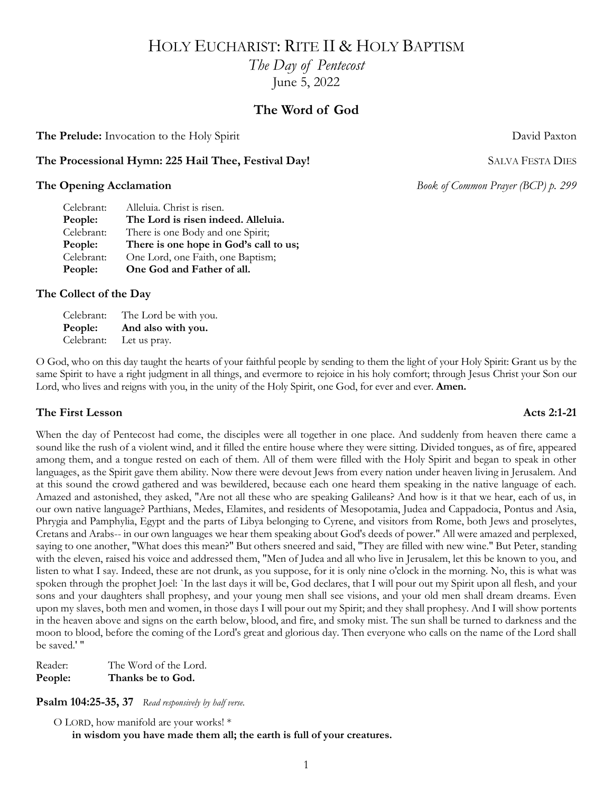# HOLY EUCHARIST: RITE II & HOLY BAPTISM

*The Day of Pentecost* June 5, 2022

# **The Word of God**

**The Prelude:** Invocation to the Holy Spirit **David Paxton** David Paxton

# **The Processional Hymn: 225 Hail Thee, Festival Day! SALVA FESTA DIES** SALVA FESTA DIES

### **The Opening Acclamation** *Book of Common Prayer (BCP) p. 299*

| Celebrant: | Alleluia. Christ is risen.             |
|------------|----------------------------------------|
| People:    | The Lord is risen indeed. Alleluia.    |
| Celebrant: | There is one Body and one Spirit;      |
| People:    | There is one hope in God's call to us; |
| Celebrant: | One Lord, one Faith, one Baptism;      |
| People:    | One God and Father of all.             |

### **The Collect of the Day**

| Celebrant: | The Lord be with you. |
|------------|-----------------------|
| People:    | And also with you.    |
| Celebrant: | Let us pray.          |

O God, who on this day taught the hearts of your faithful people by sending to them the light of your Holy Spirit: Grant us by the same Spirit to have a right judgment in all things, and evermore to rejoice in his holy comfort; through Jesus Christ your Son our Lord, who lives and reigns with you, in the unity of the Holy Spirit, one God, for ever and ever. **Amen.**

# **The First Lesson Acts 2:1-21**

# When the day of Pentecost had come, the disciples were all together in one place. And suddenly from heaven there came a sound like the rush of a violent wind, and it filled the entire house where they were sitting. Divided tongues, as of fire, appeared among them, and a tongue rested on each of them. All of them were filled with the Holy Spirit and began to speak in other languages, as the Spirit gave them ability. Now there were devout Jews from every nation under heaven living in Jerusalem. And at this sound the crowd gathered and was bewildered, because each one heard them speaking in the native language of each. Amazed and astonished, they asked, "Are not all these who are speaking Galileans? And how is it that we hear, each of us, in our own native language? Parthians, Medes, Elamites, and residents of Mesopotamia, Judea and Cappadocia, Pontus and Asia, Phrygia and Pamphylia, Egypt and the parts of Libya belonging to Cyrene, and visitors from Rome, both Jews and proselytes, Cretans and Arabs-- in our own languages we hear them speaking about God's deeds of power." All were amazed and perplexed, saying to one another, "What does this mean?" But others sneered and said, "They are filled with new wine." But Peter, standing with the eleven, raised his voice and addressed them, "Men of Judea and all who live in Jerusalem, let this be known to you, and listen to what I say. Indeed, these are not drunk, as you suppose, for it is only nine o'clock in the morning. No, this is what was spoken through the prophet Joel: `In the last days it will be, God declares, that I will pour out my Spirit upon all flesh, and your sons and your daughters shall prophesy, and your young men shall see visions, and your old men shall dream dreams. Even upon my slaves, both men and women, in those days I will pour out my Spirit; and they shall prophesy. And I will show portents in the heaven above and signs on the earth below, blood, and fire, and smoky mist. The sun shall be turned to darkness and the moon to blood, before the coming of the Lord's great and glorious day. Then everyone who calls on the name of the Lord shall be saved.' "

Reader: The Word of the Lord. **People: Thanks be to God.**

**Psalm 104:25-35, 37** *Read responsively by half verse.*

O LORD, how manifold are your works! \*

**in wisdom you have made them all; the earth is full of your creatures.**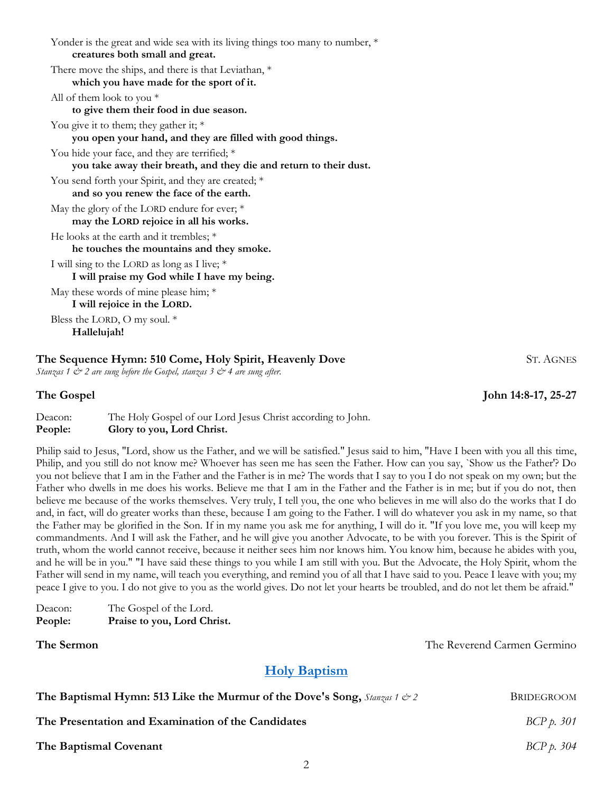|                        | the Father may be giorified in the Son. If in my name you ask me for anything, I will do it. If you love me, you will keep my<br>commandments. And I will ask the Father, and he will give you another Advocate, to be with you forever. This is the Spirit of<br>truth, whom the world cannot receive, because it neither sees him nor knows him. You know him, because he abides with you,<br>and he will be in you." "I have said these things to you while I am still with you. But the Advocate, the Holy Spirit, whom the<br>Father will send in my name, will teach you everything, and remind you of all that I have said to you. Peace I leave with you; my<br>peace I give to you. I do not give to you as the world gives. Do not let your hearts be troubled, and do not let them be afraid." |                             |
|------------------------|-----------------------------------------------------------------------------------------------------------------------------------------------------------------------------------------------------------------------------------------------------------------------------------------------------------------------------------------------------------------------------------------------------------------------------------------------------------------------------------------------------------------------------------------------------------------------------------------------------------------------------------------------------------------------------------------------------------------------------------------------------------------------------------------------------------|-----------------------------|
| Deacon:<br>People:     | The Gospel of the Lord.<br>Praise to you, Lord Christ.                                                                                                                                                                                                                                                                                                                                                                                                                                                                                                                                                                                                                                                                                                                                                    |                             |
| The Sermon             |                                                                                                                                                                                                                                                                                                                                                                                                                                                                                                                                                                                                                                                                                                                                                                                                           | The Reverend Carmen Germino |
|                        | <b>Holy Baptism</b>                                                                                                                                                                                                                                                                                                                                                                                                                                                                                                                                                                                                                                                                                                                                                                                       |                             |
|                        | The Baptismal Hymn: 513 Like the Murmur of the Dove's Song, $\frac{Stan\alpha s}{1}$ i $\dot{\varphi}$ 2                                                                                                                                                                                                                                                                                                                                                                                                                                                                                                                                                                                                                                                                                                  | <b>BRIDEGROOM</b>           |
|                        | The Presentation and Examination of the Candidates                                                                                                                                                                                                                                                                                                                                                                                                                                                                                                                                                                                                                                                                                                                                                        | $BCP \rho$ . 301            |
| The Baptismal Covenant |                                                                                                                                                                                                                                                                                                                                                                                                                                                                                                                                                                                                                                                                                                                                                                                                           | BCP p. 304                  |
|                        | $\overline{2}$                                                                                                                                                                                                                                                                                                                                                                                                                                                                                                                                                                                                                                                                                                                                                                                            |                             |
|                        |                                                                                                                                                                                                                                                                                                                                                                                                                                                                                                                                                                                                                                                                                                                                                                                                           |                             |
|                        |                                                                                                                                                                                                                                                                                                                                                                                                                                                                                                                                                                                                                                                                                                                                                                                                           |                             |

| Yonder is the great and wide sea with its living things too many to number, *<br>creatures both small and great.    |
|---------------------------------------------------------------------------------------------------------------------|
| There move the ships, and there is that Leviathan, *<br>which you have made for the sport of it.                    |
| All of them look to you $*$<br>to give them their food in due season.                                               |
| You give it to them; they gather it; $*$<br>you open your hand, and they are filled with good things.               |
| You hide your face, and they are terrified; *<br>you take away their breath, and they die and return to their dust. |
| You send forth your Spirit, and they are created; *<br>and so you renew the face of the earth.                      |
| May the glory of the LORD endure for ever; $*$<br>may the LORD rejoice in all his works.                            |
| He looks at the earth and it trembles; $*$<br>he touches the mountains and they smoke.                              |
| I will sing to the LORD as long as I live; *<br>I will praise my God while I have my being.                         |
| May these words of mine please him; $*$<br>I will rejoice in the LORD.                                              |
| Bless the LORD, O my soul. $*$<br>Hallelujah!                                                                       |
|                                                                                                                     |

# **The Sequence Hymn: 510 Come, Holy Spirit, Heavenly Dove** ST. AGNES

Deacon: The Holy Gospel of our Lord Jesus Christ according to John.

*Stanzas 1 & 2 are sung before the Gospel, stanzas 3 & 4 are sung after.*

Philip said to Jesus, "Lord, show us the Father, and we will be satisfied." Jesus said to him, "Have I been with you all this time, Philip, and you still do not know me? Whoever has seen me has seen the Father. How can you say, `Show us the Father'? Do you not believe that I am in the Father and the Father is in me? The words that I say to you I do not speak on my own; but the Father who dwells in me does his works. Believe me that I am in the Father and the Father is in me; but if you do not, then believe me because of the works themselves. Very truly, I tell you, the one who believes in me will also do the works that I do and, in fact, will do greater works than these, because I am going to the Father. I will do whatever you ask in my name, so that the Father may be glorified in the Son. If in my name you ask me for anything, I will do it. "If you love me, you will keep my commandments. And I will ask the Father, and he will give you another Advocate, to be with you forever. This is the Spirit of truth, whom the world cannot receive, because it neither sees him nor knows him. You know him, because he abides with you, and he will be in you." "I have said these things to you while I am still with you. But the Advocate, the Holy Spirit, whom the Father will send in my name, will teach you everything, and remind you of all that I have said to you. Peace I leave with you; my peace I give to you. I do not give to you as the world gives. Do not let your hearts be troubled, and do not let them be afraid."

| Deacon: | The Gospel of the Lord.     |
|---------|-----------------------------|
| People: | Praise to you, Lord Christ. |

**People: Glory to you, Lord Christ.**

**The Gospel John 14:8-17, 25-27**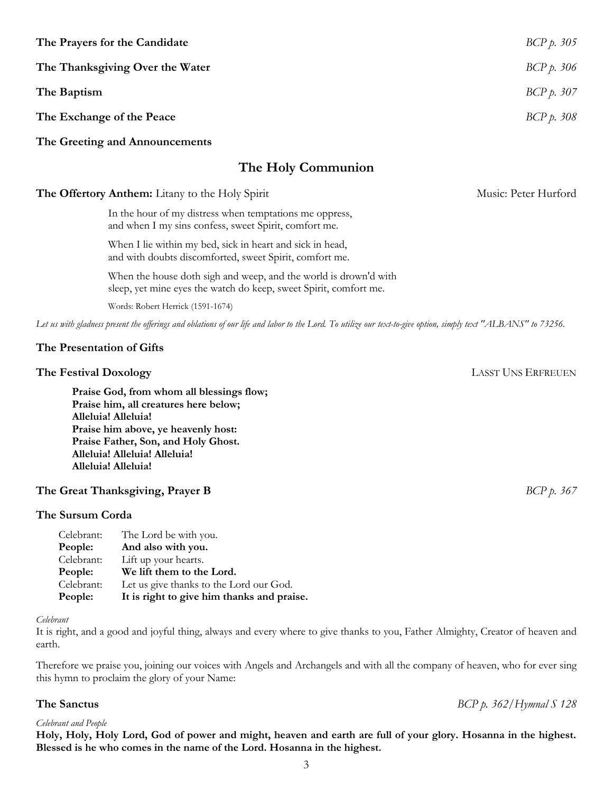| The Prayers for the Candidate   | $BCP \rho$ , 305   |
|---------------------------------|--------------------|
| The Thanksgiving Over the Water | $BCP \, p. \, 306$ |
| The Baptism                     | $BCP \, p. 307$    |
| The Exchange of the Peace       | $BCP \, p. \, 308$ |
| The Greeting and Announcements  |                    |

# **The Holy Communion**

**The Offertory Anthem:** Litany to the Holy Spirit Music: Peter Hurford

In the hour of my distress when temptations me oppress, and when I my sins confess, sweet Spirit, comfort me.

When I lie within my bed, sick in heart and sick in head, and with doubts discomforted, sweet Spirit, comfort me.

When the house doth sigh and weep, and the world is drown'd with sleep, yet mine eyes the watch do keep, sweet Spirit, comfort me.

Words: Robert Herrick (1591-1674)

*Let us with gladness present the offerings and oblations of our life and labor to the Lord. To utilize our text-to-give option, simply text "ALBANS" to 73256.*

# **The Presentation of Gifts**

### **The Festival Doxology LASST UNS ERFREUEN**

**Praise God, from whom all blessings flow; Praise him, all creatures here below; Alleluia! Alleluia! Praise him above, ye heavenly host: Praise Father, Son, and Holy Ghost. Alleluia! Alleluia! Alleluia! Alleluia! Alleluia!**

# **The Great Thanksgiving, Prayer B BCP** *BCP BCP BCP BCP BCP BCP BCP BCP BCP BCP BCP BCP BCP B*

# **The Sursum Corda**

| People:    | It is right to give him thanks and praise. |
|------------|--------------------------------------------|
| Celebrant: | Let us give thanks to the Lord our God.    |
| People:    | We lift them to the Lord.                  |
| Celebrant: | Lift up your hearts.                       |
| People:    | And also with you.                         |
| Celebrant: | The Lord be with you.                      |

### *Celebrant*

It is right, and a good and joyful thing, always and every where to give thanks to you, Father Almighty, Creator of heaven and earth.

Therefore we praise you, joining our voices with Angels and Archangels and with all the company of heaven, who for ever sing this hymn to proclaim the glory of your Name:

# *Celebrant and People*

**Holy, Holy, Holy Lord, God of power and might, heaven and earth are full of your glory. Hosanna in the highest. Blessed is he who comes in the name of the Lord. Hosanna in the highest.**

**The Sanctus** *BCP p. 362/Hymnal S 128*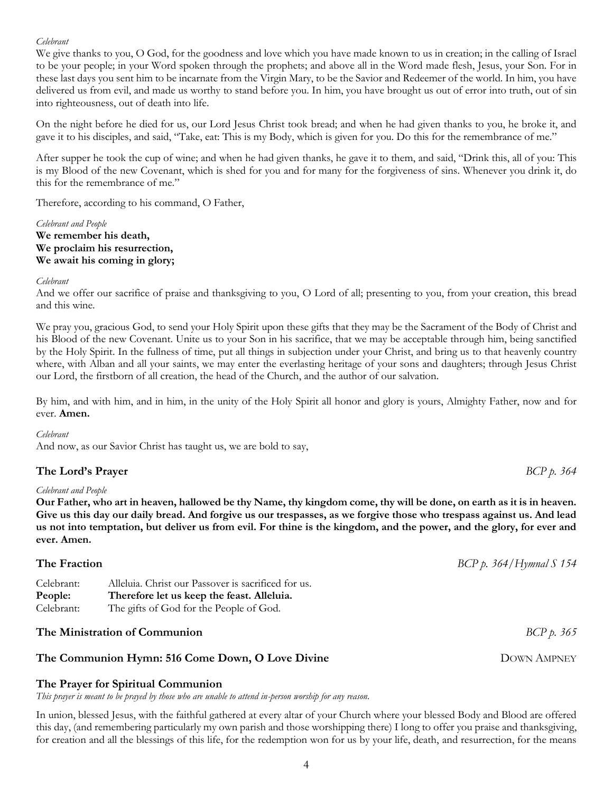### *Celebrant*

We give thanks to you, O God, for the goodness and love which you have made known to us in creation; in the calling of Israel to be your people; in your Word spoken through the prophets; and above all in the Word made flesh, Jesus, your Son. For in these last days you sent him to be incarnate from the Virgin Mary, to be the Savior and Redeemer of the world. In him, you have delivered us from evil, and made us worthy to stand before you. In him, you have brought us out of error into truth, out of sin into righteousness, out of death into life.

On the night before he died for us, our Lord Jesus Christ took bread; and when he had given thanks to you, he broke it, and gave it to his disciples, and said, "Take, eat: This is my Body, which is given for you. Do this for the remembrance of me."

After supper he took the cup of wine; and when he had given thanks, he gave it to them, and said, "Drink this, all of you: This is my Blood of the new Covenant, which is shed for you and for many for the forgiveness of sins. Whenever you drink it, do this for the remembrance of me."

Therefore, according to his command, O Father,

### *Celebrant and People* **We remember his death, We proclaim his resurrection, We await his coming in glory;**

### *Celebrant*

And we offer our sacrifice of praise and thanksgiving to you, O Lord of all; presenting to you, from your creation, this bread and this wine.

We pray you, gracious God, to send your Holy Spirit upon these gifts that they may be the Sacrament of the Body of Christ and his Blood of the new Covenant. Unite us to your Son in his sacrifice, that we may be acceptable through him, being sanctified by the Holy Spirit. In the fullness of time, put all things in subjection under your Christ, and bring us to that heavenly country where, with Alban and all your saints, we may enter the everlasting heritage of your sons and daughters; through Jesus Christ our Lord, the firstborn of all creation, the head of the Church, and the author of our salvation.

By him, and with him, and in him, in the unity of the Holy Spirit all honor and glory is yours, Almighty Father, now and for ever. **Amen.**

### *Celebrant*

And now, as our Savior Christ has taught us, we are bold to say,

# **The Lord's Prayer** *BCP p. 364*

### *Celebrant and People*

**Our Father, who art in heaven, hallowed be thy Name, thy kingdom come, thy will be done, on earth as it is in heaven. Give us this day our daily bread. And forgive us our trespasses, as we forgive those who trespass against us. And lead us not into temptation, but deliver us from evil. For thine is the kingdom, and the power, and the glory, for ever and ever. Amen.** 

# **The Fraction** *BCP p. 364/Hymnal S 154*

Celebrant: Alleluia. Christ our Passover is sacrificed for us. **People: Therefore let us keep the feast. Alleluia.**  Celebrant: The gifts of God for the People of God.

# **The Ministration of Communion** *BCP p. 365*

# **The Communion Hymn: 516 Come Down, O Love Divine Server Ample State Communion Hymn: 516 Come Down, O Love Divine**

# **The Prayer for Spiritual Communion**

*This prayer is meant to be prayed by those who are unable to attend in-person worship for any reason.* 

In union, blessed Jesus, with the faithful gathered at every altar of your Church where your blessed Body and Blood are offered this day, (and remembering particularly my own parish and those worshipping there) I long to offer you praise and thanksgiving, for creation and all the blessings of this life, for the redemption won for us by your life, death, and resurrection, for the means